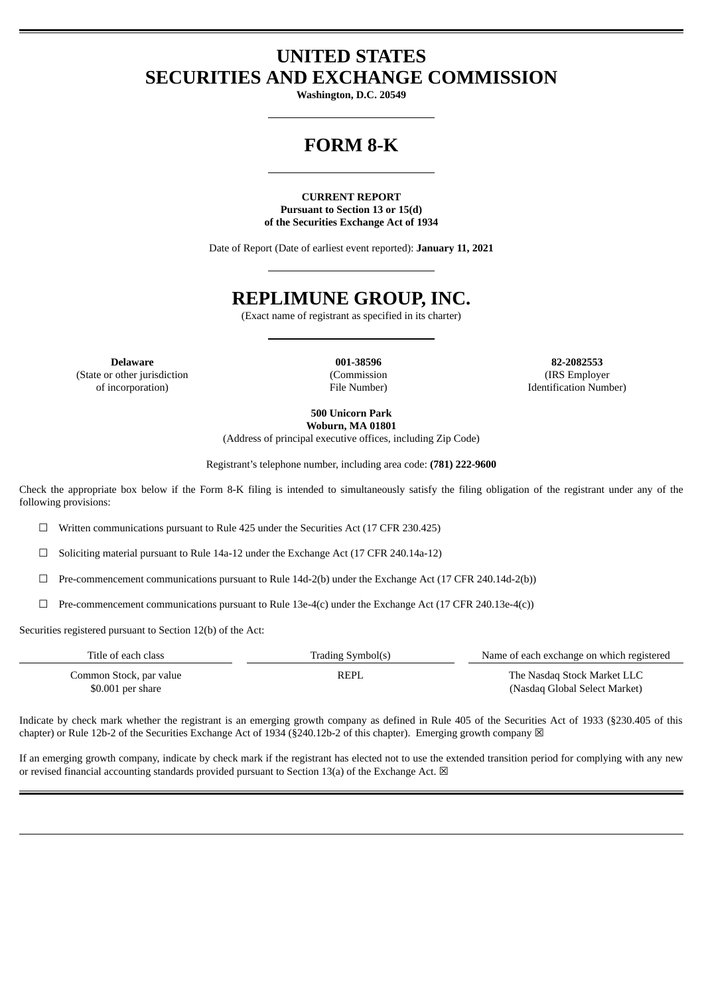# **UNITED STATES SECURITIES AND EXCHANGE COMMISSION**

**Washington, D.C. 20549**

# **FORM 8-K**

**CURRENT REPORT Pursuant to Section 13 or 15(d) of the Securities Exchange Act of 1934**

Date of Report (Date of earliest event reported): **January 11, 2021**

# **REPLIMUNE GROUP, INC.**

(Exact name of registrant as specified in its charter)

(State or other jurisdiction of incorporation)

(Commission File Number)

**Delaware 001-38596 82-2082553** (IRS Employer Identification Number)

> **500 Unicorn Park Woburn, MA 01801**

(Address of principal executive offices, including Zip Code)

Registrant's telephone number, including area code: **(781) 222-9600**

Check the appropriate box below if the Form 8-K filing is intended to simultaneously satisfy the filing obligation of the registrant under any of the following provisions:

 $\Box$  Written communications pursuant to Rule 425 under the Securities Act (17 CFR 230.425)

 $\Box$  Soliciting material pursuant to Rule 14a-12 under the Exchange Act (17 CFR 240.14a-12)

 $\Box$  Pre-commencement communications pursuant to Rule 14d-2(b) under the Exchange Act (17 CFR 240.14d-2(b))

 $\Box$  Pre-commencement communications pursuant to Rule 13e-4(c) under the Exchange Act (17 CFR 240.13e-4(c))

Securities registered pursuant to Section 12(b) of the Act:

| Title of each class                           | Trading Symbol(s) | Name of each exchange on which registered                    |
|-----------------------------------------------|-------------------|--------------------------------------------------------------|
| Common Stock, par value<br>$$0.001$ per share | REPL              | The Nasdag Stock Market LLC<br>(Nasdag Global Select Market) |

Indicate by check mark whether the registrant is an emerging growth company as defined in Rule 405 of the Securities Act of 1933 (§230.405 of this chapter) or Rule 12b-2 of the Securities Exchange Act of 1934 (§240.12b-2 of this chapter). Emerging growth company  $\boxtimes$ 

If an emerging growth company, indicate by check mark if the registrant has elected not to use the extended transition period for complying with any new or revised financial accounting standards provided pursuant to Section 13(a) of the Exchange Act.  $\boxtimes$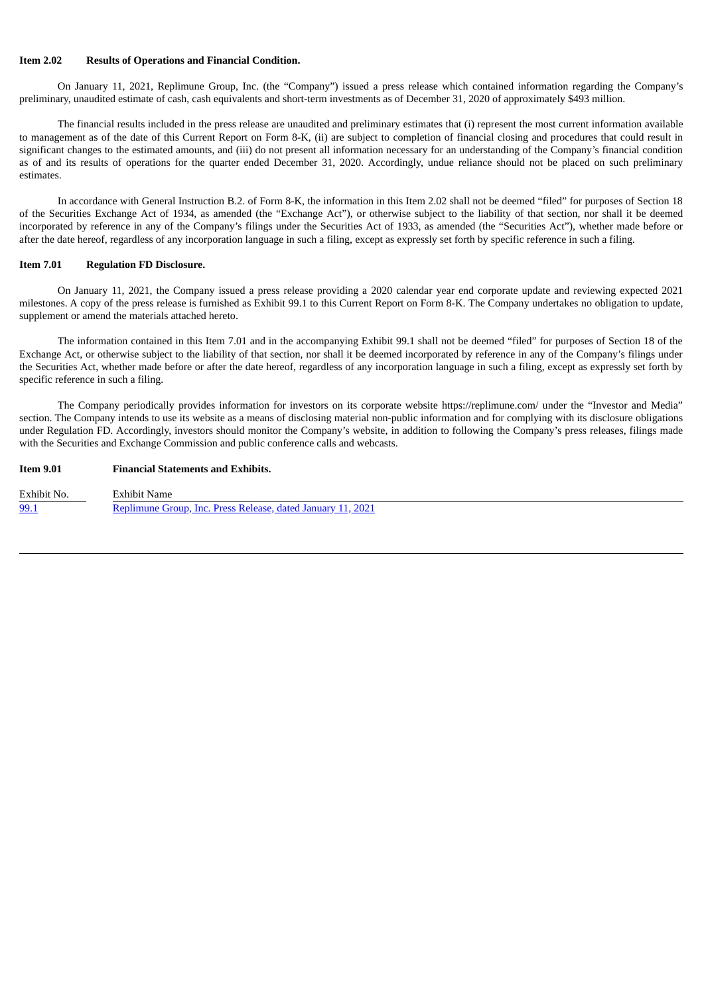#### **Item 2.02 Results of Operations and Financial Condition.**

On January 11, 2021, Replimune Group, Inc. (the "Company") issued a press release which contained information regarding the Company's preliminary, unaudited estimate of cash, cash equivalents and short-term investments as of December 31, 2020 of approximately \$493 million.

The financial results included in the press release are unaudited and preliminary estimates that (i) represent the most current information available to management as of the date of this Current Report on Form 8-K, (ii) are subject to completion of financial closing and procedures that could result in significant changes to the estimated amounts, and (iii) do not present all information necessary for an understanding of the Company's financial condition as of and its results of operations for the quarter ended December 31, 2020. Accordingly, undue reliance should not be placed on such preliminary estimates.

In accordance with General Instruction B.2. of Form 8-K, the information in this Item 2.02 shall not be deemed "filed" for purposes of Section 18 of the Securities Exchange Act of 1934, as amended (the "Exchange Act"), or otherwise subject to the liability of that section, nor shall it be deemed incorporated by reference in any of the Company's filings under the Securities Act of 1933, as amended (the "Securities Act"), whether made before or after the date hereof, regardless of any incorporation language in such a filing, except as expressly set forth by specific reference in such a filing.

#### **Item 7.01 Regulation FD Disclosure.**

On January 11, 2021, the Company issued a press release providing a 2020 calendar year end corporate update and reviewing expected 2021 milestones. A copy of the press release is furnished as Exhibit 99.1 to this Current Report on Form 8-K. The Company undertakes no obligation to update, supplement or amend the materials attached hereto.

The information contained in this Item 7.01 and in the accompanying Exhibit 99.1 shall not be deemed "filed" for purposes of Section 18 of the Exchange Act, or otherwise subject to the liability of that section, nor shall it be deemed incorporated by reference in any of the Company's filings under the Securities Act, whether made before or after the date hereof, regardless of any incorporation language in such a filing, except as expressly set forth by specific reference in such a filing.

The Company periodically provides information for investors on its corporate website https://replimune.com/ under the "Investor and Media" section. The Company intends to use its website as a means of disclosing material non-public information and for complying with its disclosure obligations under Regulation FD. Accordingly, investors should monitor the Company's website, in addition to following the Company's press releases, filings made with the Securities and Exchange Commission and public conference calls and webcasts.

## **Item 9.01 Financial Statements and Exhibits.**

| Exhibit No. | Exhibit Name                                                |
|-------------|-------------------------------------------------------------|
| 99.1        | Replimune Group, Inc. Press Release, dated January 11, 2021 |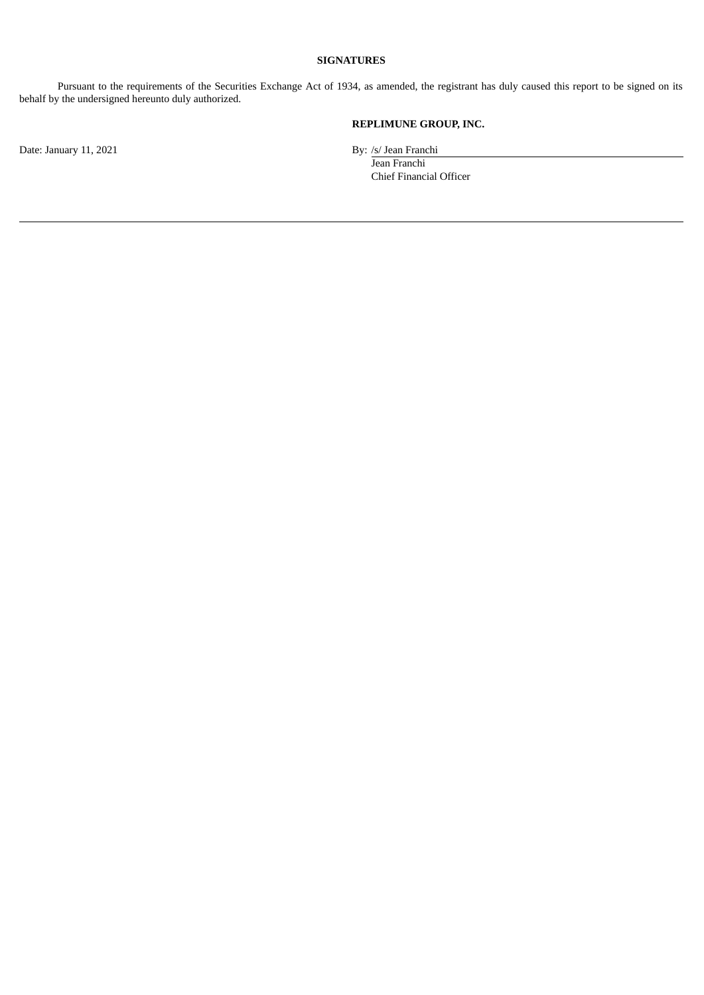# **SIGNATURES**

Pursuant to the requirements of the Securities Exchange Act of 1934, as amended, the registrant has duly caused this report to be signed on its behalf by the undersigned hereunto duly authorized.

# **REPLIMUNE GROUP, INC.**

Jean Franchi Chief Financial Officer

Date: January 11, 2021 By: /s/ Jean Franchi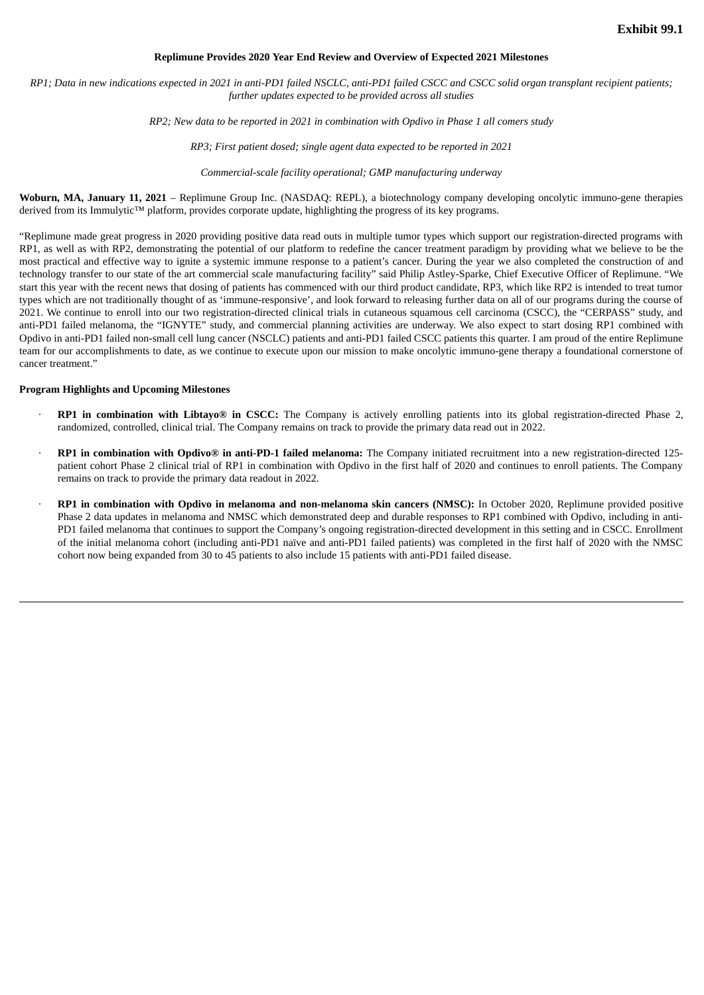#### **Replimune Provides 2020 Year End Review and Overview of Expected 2021 Milestones**

<span id="page-3-0"></span>RP1; Data in new indications expected in 2021 in anti-PD1 failed NSCLC, anti-PD1 failed CSCC and CSCC solid organ transplant recipient patients; *further updates expected to be provided across all studies*

*RP2; New data to be reported in 2021 in combination with Opdivo in Phase 1 all comers study*

*RP3; First patient dosed; single agent data expected to be reported in 2021*

*Commercial-scale facility operational; GMP manufacturing underway*

**Woburn, MA, January 11, 2021** – Replimune Group Inc. (NASDAQ: REPL), a biotechnology company developing oncolytic immuno-gene therapies derived from its Immulytic™ platform, provides corporate update, highlighting the progress of its key programs.

"Replimune made great progress in 2020 providing positive data read outs in multiple tumor types which support our registration-directed programs with RP1, as well as with RP2, demonstrating the potential of our platform to redefine the cancer treatment paradigm by providing what we believe to be the most practical and effective way to ignite a systemic immune response to a patient's cancer. During the year we also completed the construction of and technology transfer to our state of the art commercial scale manufacturing facility" said Philip Astley-Sparke, Chief Executive Officer of Replimune. "We start this year with the recent news that dosing of patients has commenced with our third product candidate, RP3, which like RP2 is intended to treat tumor types which are not traditionally thought of as 'immune-responsive', and look forward to releasing further data on all of our programs during the course of 2021. We continue to enroll into our two registration-directed clinical trials in cutaneous squamous cell carcinoma (CSCC), the "CERPASS" study, and anti-PD1 failed melanoma, the "IGNYTE" study, and commercial planning activities are underway. We also expect to start dosing RP1 combined with Opdivo in anti-PD1 failed non-small cell lung cancer (NSCLC) patients and anti-PD1 failed CSCC patients this quarter. I am proud of the entire Replimune team for our accomplishments to date, as we continue to execute upon our mission to make oncolytic immuno-gene therapy a foundational cornerstone of cancer treatment."

## **Program Highlights and Upcoming Milestones**

- · **RP1 in combination with Libtayo® in CSCC:** The Company is actively enrolling patients into its global registration-directed Phase 2, randomized, controlled, clinical trial. The Company remains on track to provide the primary data read out in 2022.
- · **RP1 in combination with Opdivo® in anti-PD-1 failed melanoma:** The Company initiated recruitment into a new registration-directed 125 patient cohort Phase 2 clinical trial of RP1 in combination with Opdivo in the first half of 2020 and continues to enroll patients. The Company remains on track to provide the primary data readout in 2022.
- · **RP1 in combination with Opdivo in melanoma and non-melanoma skin cancers (NMSC):** In October 2020, Replimune provided positive Phase 2 data updates in melanoma and NMSC which demonstrated deep and durable responses to RP1 combined with Opdivo, including in anti-PD1 failed melanoma that continues to support the Company's ongoing registration-directed development in this setting and in CSCC. Enrollment of the initial melanoma cohort (including anti-PD1 naïve and anti-PD1 failed patients) was completed in the first half of 2020 with the NMSC cohort now being expanded from 30 to 45 patients to also include 15 patients with anti-PD1 failed disease.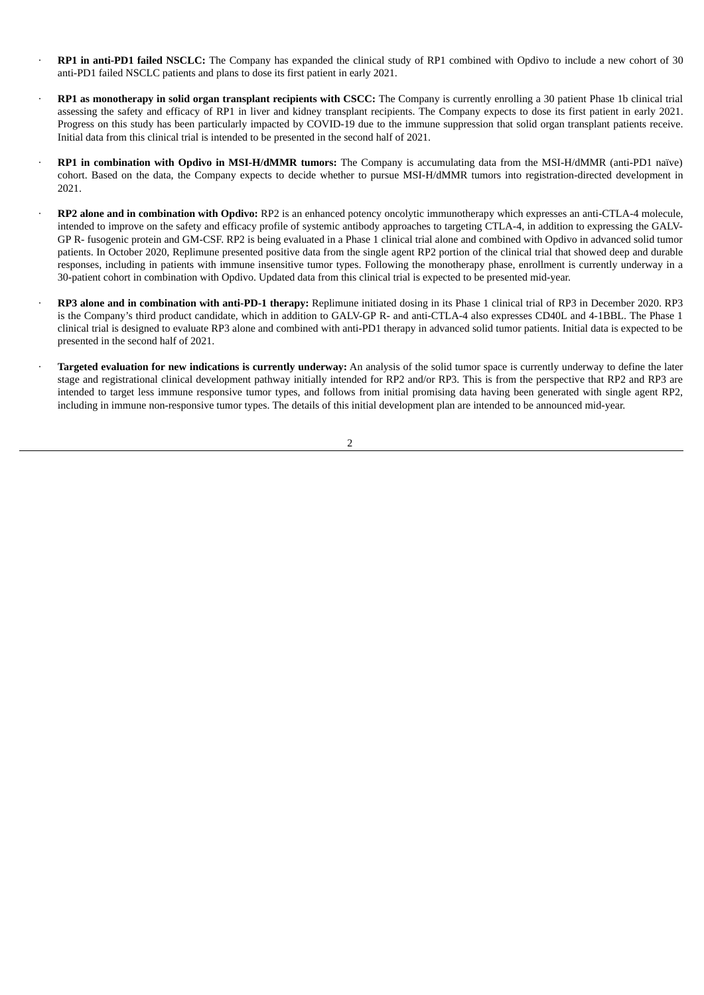- · **RP1 in anti-PD1 failed NSCLC:** The Company has expanded the clinical study of RP1 combined with Opdivo to include a new cohort of 30 anti-PD1 failed NSCLC patients and plans to dose its first patient in early 2021.
- · **RP1 as monotherapy in solid organ transplant recipients with CSCC:** The Company is currently enrolling a 30 patient Phase 1b clinical trial assessing the safety and efficacy of RP1 in liver and kidney transplant recipients. The Company expects to dose its first patient in early 2021. Progress on this study has been particularly impacted by COVID-19 due to the immune suppression that solid organ transplant patients receive. Initial data from this clinical trial is intended to be presented in the second half of 2021.
- · **RP1 in combination with Opdivo in MSI-H/dMMR tumors:** The Company is accumulating data from the MSI-H/dMMR (anti-PD1 naïve) cohort. Based on the data, the Company expects to decide whether to pursue MSI-H/dMMR tumors into registration-directed development in 2021.
- · **RP2 alone and in combination with Opdivo:** RP2 is an enhanced potency oncolytic immunotherapy which expresses an anti-CTLA-4 molecule, intended to improve on the safety and efficacy profile of systemic antibody approaches to targeting CTLA-4, in addition to expressing the GALV-GP R- fusogenic protein and GM-CSF. RP2 is being evaluated in a Phase 1 clinical trial alone and combined with Opdivo in advanced solid tumor patients. In October 2020, Replimune presented positive data from the single agent RP2 portion of the clinical trial that showed deep and durable responses, including in patients with immune insensitive tumor types. Following the monotherapy phase, enrollment is currently underway in a 30-patient cohort in combination with Opdivo. Updated data from this clinical trial is expected to be presented mid-year.
- · **RP3 alone and in combination with anti-PD-1 therapy:** Replimune initiated dosing in its Phase 1 clinical trial of RP3 in December 2020. RP3 is the Company's third product candidate, which in addition to GALV-GP R- and anti-CTLA-4 also expresses CD40L and 4-1BBL. The Phase 1 clinical trial is designed to evaluate RP3 alone and combined with anti-PD1 therapy in advanced solid tumor patients. Initial data is expected to be presented in the second half of 2021.
- · **Targeted evaluation for new indications is currently underway:** An analysis of the solid tumor space is currently underway to define the later stage and registrational clinical development pathway initially intended for RP2 and/or RP3. This is from the perspective that RP2 and RP3 are intended to target less immune responsive tumor types, and follows from initial promising data having been generated with single agent RP2, including in immune non-responsive tumor types. The details of this initial development plan are intended to be announced mid-year.

2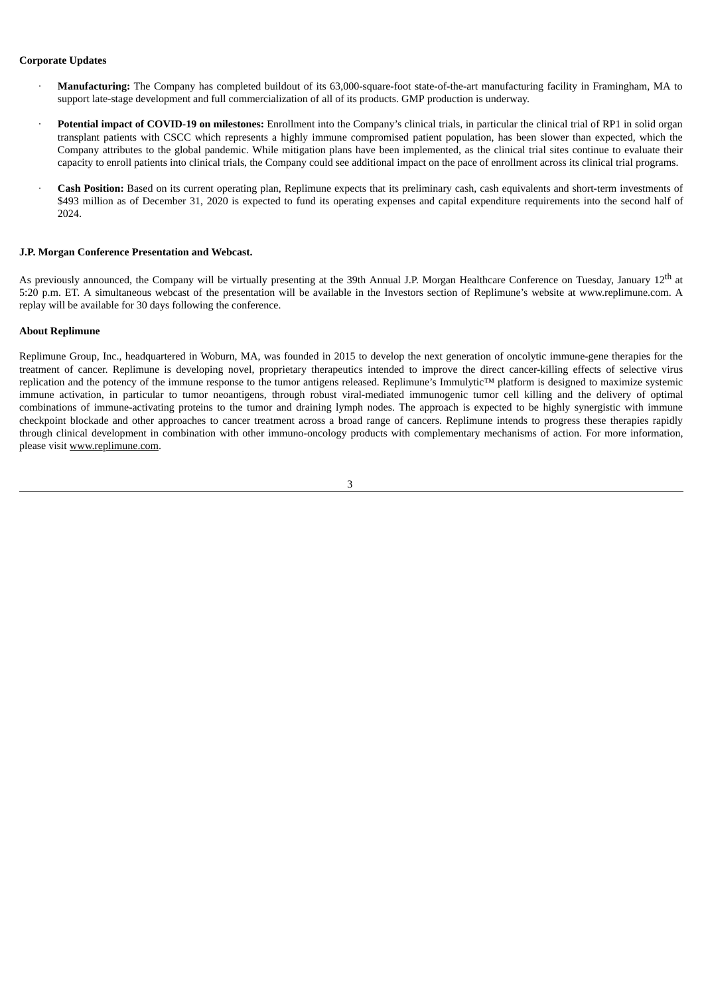## **Corporate Updates**

- · **Manufacturing:** The Company has completed buildout of its 63,000-square-foot state-of-the-art manufacturing facility in Framingham, MA to support late-stage development and full commercialization of all of its products. GMP production is underway.
- · **Potential impact of COVID-19 on milestones:** Enrollment into the Company's clinical trials, in particular the clinical trial of RP1 in solid organ transplant patients with CSCC which represents a highly immune compromised patient population, has been slower than expected, which the Company attributes to the global pandemic. While mitigation plans have been implemented, as the clinical trial sites continue to evaluate their capacity to enroll patients into clinical trials, the Company could see additional impact on the pace of enrollment across its clinical trial programs.
- · **Cash Position:** Based on its current operating plan, Replimune expects that its preliminary cash, cash equivalents and short-term investments of \$493 million as of December 31, 2020 is expected to fund its operating expenses and capital expenditure requirements into the second half of 2024.

#### **J.P. Morgan Conference Presentation and Webcast.**

As previously announced, the Company will be virtually presenting at the 39th Annual J.P. Morgan Healthcare Conference on Tuesday, January 12<sup>th</sup> at 5:20 p.m. ET. A simultaneous webcast of the presentation will be available in the Investors section of Replimune's website at www.replimune.com. A replay will be available for 30 days following the conference.

#### **About Replimune**

Replimune Group, Inc., headquartered in Woburn, MA, was founded in 2015 to develop the next generation of oncolytic immune-gene therapies for the treatment of cancer. Replimune is developing novel, proprietary therapeutics intended to improve the direct cancer-killing effects of selective virus replication and the potency of the immune response to the tumor antigens released. Replimune's Immulytic™ platform is designed to maximize systemic immune activation, in particular to tumor neoantigens, through robust viral-mediated immunogenic tumor cell killing and the delivery of optimal combinations of immune-activating proteins to the tumor and draining lymph nodes. The approach is expected to be highly synergistic with immune checkpoint blockade and other approaches to cancer treatment across a broad range of cancers. Replimune intends to progress these therapies rapidly through clinical development in combination with other immuno-oncology products with complementary mechanisms of action. For more information, please visit www.replimune.com.